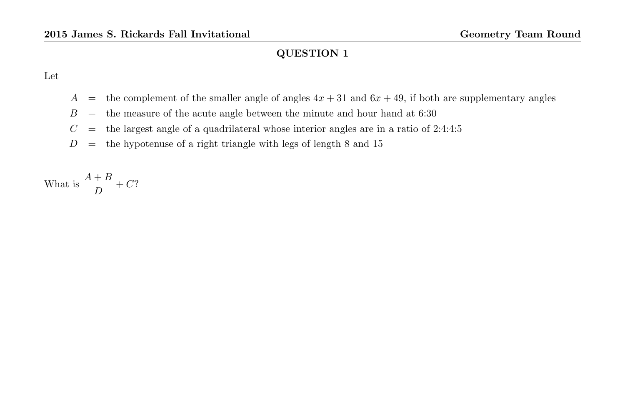Let

- A = the complement of the smaller angle of angles  $4x + 31$  and  $6x + 49$ , if both are supplementary angles
- $B =$  the measure of the acute angle between the minute and hour hand at 6:30
- $C =$  the largest angle of a quadrilateral whose interior angles are in a ratio of 2:4:4:5
- $D =$  the hypotenuse of a right triangle with legs of length 8 and 15

What is  $\frac{A+B}{D} + C$ ?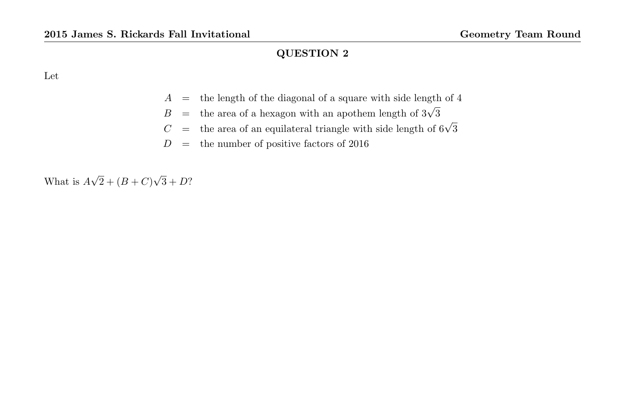Let

- $A =$  the length of the diagonal of a square with side length of 4
- $B =$  the area of a hexagon with an apothem length of  $3\sqrt{3}$
- $C =$  the area of an equilateral triangle with side length of  $6\sqrt{3}$
- $D =$  the number of positive factors of 2016

What is A √  $2 + (B + C)$ √  $3 + D?$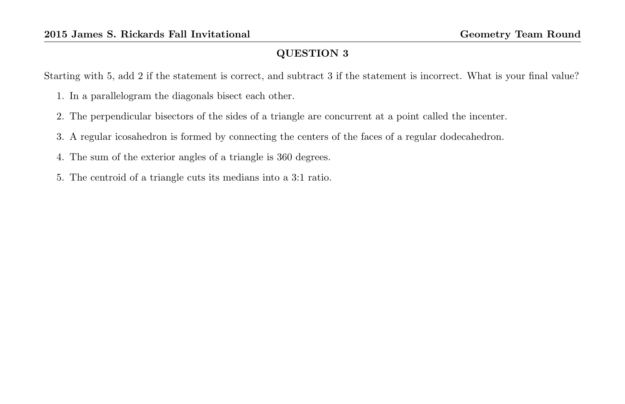Starting with 5, add 2 if the statement is correct, and subtract 3 if the statement is incorrect. What is your final value?

- 1. In a parallelogram the diagonals bisect each other.
- 2. The perpendicular bisectors of the sides of a triangle are concurrent at a point called the incenter.
- 3. A regular icosahedron is formed by connecting the centers of the faces of a regular dodecahedron.
- 4. The sum of the exterior angles of a triangle is 360 degrees.
- 5. The centroid of a triangle cuts its medians into a 3:1 ratio.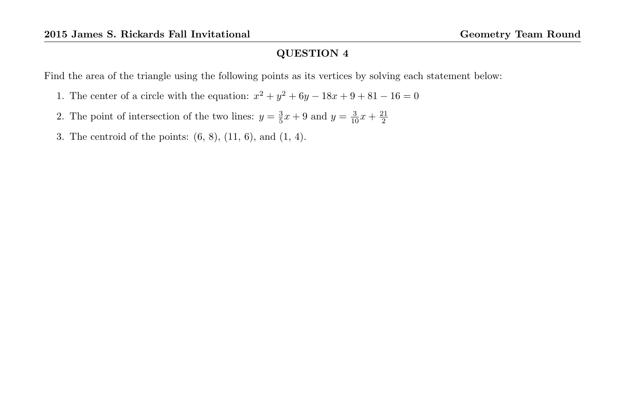Find the area of the triangle using the following points as its vertices by solving each statement below:

- 1. The center of a circle with the equation:  $x^2 + y^2 + 6y 18x + 9 + 81 16 = 0$
- 2. The point of intersection of the two lines:  $y = \frac{3}{5}x + 9$  and  $y = \frac{3}{10}x + \frac{21}{2}$
- 3. The centroid of the points: (6, 8), (11, 6), and (1, 4).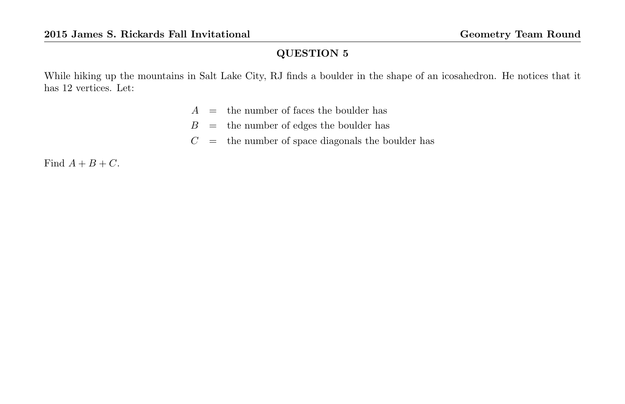While hiking up the mountains in Salt Lake City, RJ finds a boulder in the shape of an icosahedron. He notices that it has 12 vertices. Let:

- $A =$  the number of faces the boulder has
- $B =$  the number of edges the boulder has
- $C =$  the number of space diagonals the boulder has

Find  $A + B + C$ .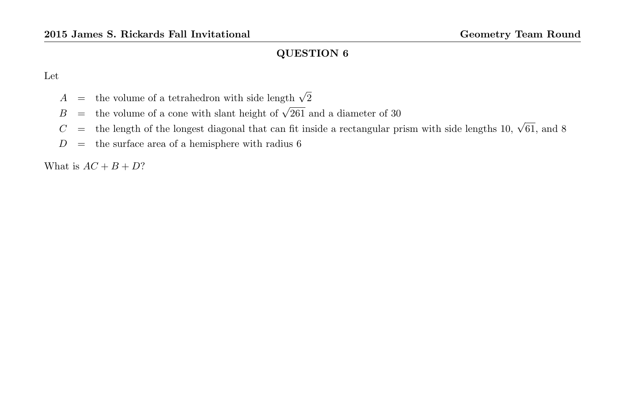Let

- $A =$  the volume of a tetrahedron with side length  $\sqrt{2}$
- $B =$  the volume of a cone with slant height of  $\sqrt{261}$  and a diameter of 30
- $C =$  the length of the longest diagonal that can fit inside a rectangular prism with side lengths 10,  $\sqrt{61}$ , and 8
- $D =$  the surface area of a hemisphere with radius 6

What is  $AC + B + D?$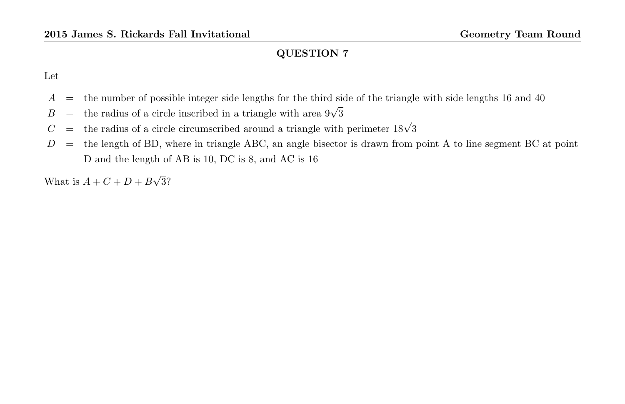Let

- A = the number of possible integer side lengths for the third side of the triangle with side lengths 16 and 40
- $B =$  the radius of a circle inscribed in a triangle with area  $9\sqrt{3}$
- $C =$  the radius of a circle circumscribed around a triangle with perimeter  $18\sqrt{3}$
- $D =$  the length of BD, where in triangle ABC, an angle bisector is drawn from point A to line segment BC at point D and the length of AB is 10, DC is 8, and AC is 16

What is  $A + C + D + B$ √ 3?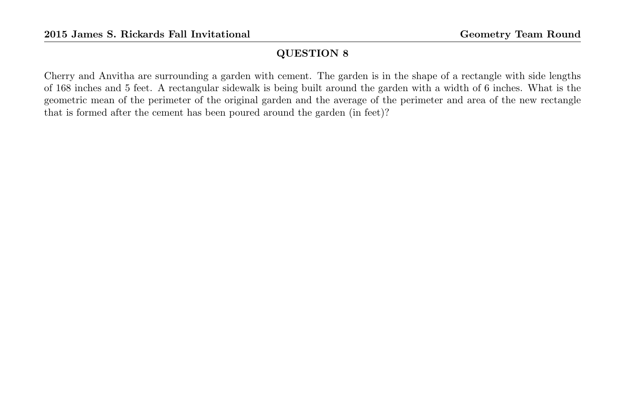Cherry and Anvitha are surrounding a garden with cement. The garden is in the shape of a rectangle with side lengths of 168 inches and 5 feet. A rectangular sidewalk is being built around the garden with a width of 6 inches. What is the geometric mean of the perimeter of the original garden and the average of the perimeter and area of the new rectangle that is formed after the cement has been poured around the garden (in feet)?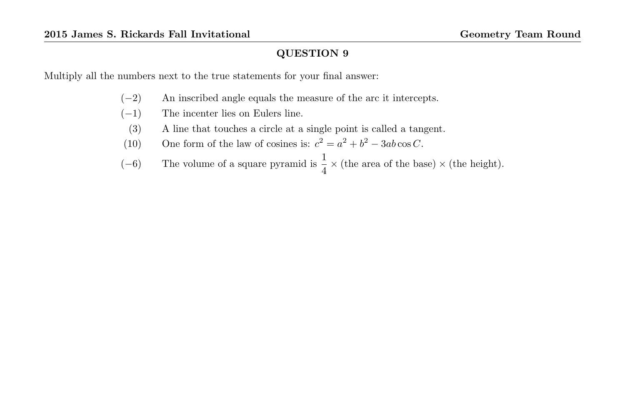Multiply all the numbers next to the true statements for your final answer:

- (−2) An inscribed angle equals the measure of the arc it intercepts.
- $(-1)$  The incenter lies on Eulers line.
	- (3) A line that touches a circle at a single point is called a tangent.
- (10) One form of the law of cosines is:  $c^2 = a^2 + b^2 3ab \cos C$ .
- (−6) The volume of a square pyramid is  $\frac{1}{4} \times$  (the area of the base)  $\times$  (the height).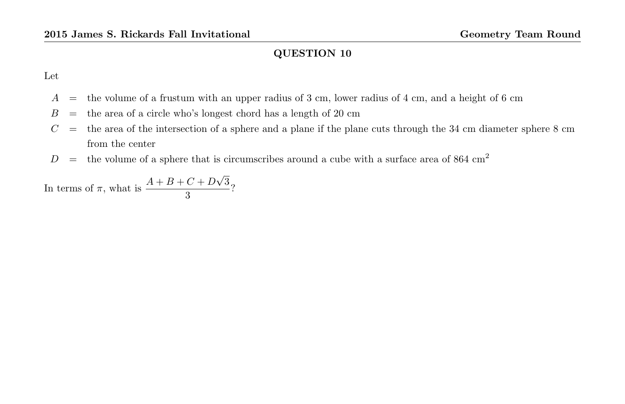Let

- $A =$  the volume of a frustum with an upper radius of 3 cm, lower radius of 4 cm, and a height of 6 cm
- $B =$  the area of a circle who's longest chord has a length of 20 cm
- $C =$  the area of the intersection of a sphere and a plane if the plane cuts through the 34 cm diameter sphere 8 cm from the center
- $D =$  the volume of a sphere that is circumscribes around a cube with a surface area of 864 cm<sup>2</sup>

In terms of  $\pi$ , what is  $\frac{A+B+C+D}{2}$ √ 3  $\frac{3}{3}$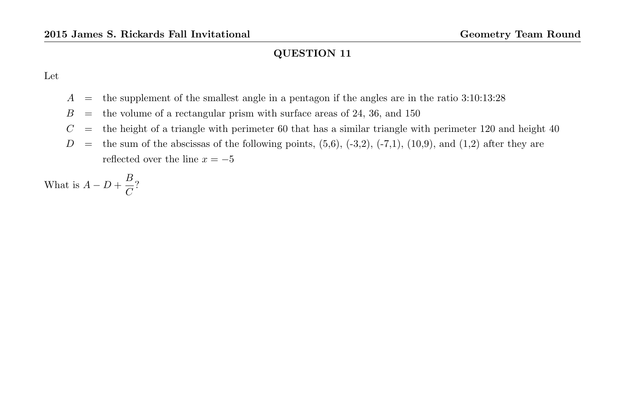Let

- $A =$  the supplement of the smallest angle in a pentagon if the angles are in the ratio 3:10:13:28
- $B =$  the volume of a rectangular prism with surface areas of 24, 36, and 150
- $C =$  the height of a triangle with perimeter 60 that has a similar triangle with perimeter 120 and height 40
- $D =$  the sum of the abscissas of the following points,  $(5,6)$ ,  $(-3,2)$ ,  $(-7,1)$ ,  $(10,9)$ , and  $(1,2)$  after they are reflected over the line  $x = -5$

What is  $A - D + \frac{B}{C}$  $\frac{2}{C}$ ?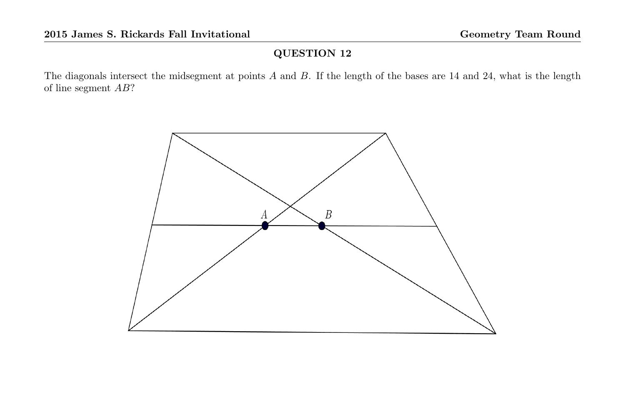The diagonals intersect the midsegment at points A and B. If the length of the bases are 14 and 24, what is the length of line segment AB?

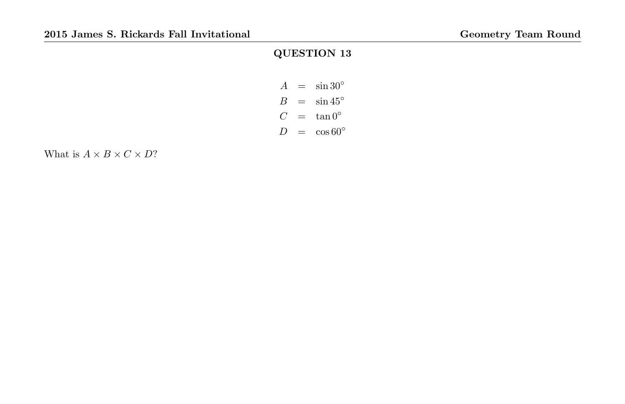$$
A = \sin 30^{\circ}
$$
  
\n
$$
B = \sin 45^{\circ}
$$
  
\n
$$
C = \tan 0^{\circ}
$$
  
\n
$$
D = \cos 60^{\circ}
$$

What is  $A \times B \times C \times D?$